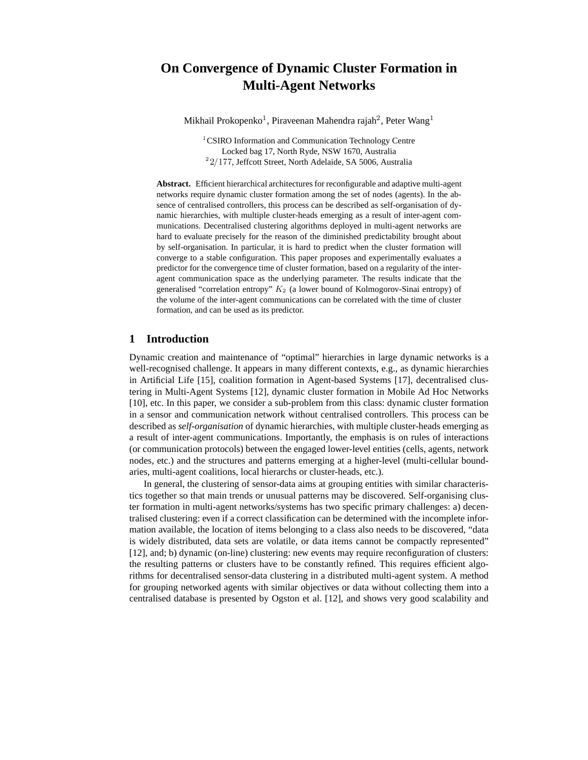# **On Convergence of Dynamic Cluster Formation in Multi-Agent Networks**

Mikhail Prokopenko $^1$ , Piraveenan Mahendra rajah $^2$ , Peter Wang $^1$ 

<sup>1</sup>CSIRO Information and Communication Technology Centre Locked bag 17, North Ryde, NSW 1670, Australia  $22/177$ , Jeffcott Street, North Adelaide, SA 5006, Australia

Abstract. Efficient hierarchical architectures for reconfigurable and adaptive multi-agent networks require dynamic cluster formation among the set of nodes (agents). In the absence of centralised controllers, this process can be described as self-organisation of dynamic hierarchies, with multiple cluster-heads emerging as a result of inter-agent communications. Decentralised clustering algorithms deployed in multi-agent networks are hard to evaluate precisely for the reason of the diminished predictability brought about by self-organisation. In particular, it is hard to predict when the cluster formation will converge to a stable configuration. This paper proposes and experimentally evaluates a predictor for the convergence time of cluster formation, based on a regularity of the interagent communication space as the underlying parameter. The results indicate that the generalised "correlation entropy"  $K_2$  (a lower bound of Kolmogorov-Sinai entropy) of the volume of the inter-agent communications can be correlated with the time of cluster formation, and can be used as its predictor.

# **1 Introduction**

Dynamic creation and maintenance of "optimal" hierarchies in large dynamic networks is a well-recognised challenge. It appears in many different contexts, e.g., as dynamic hierarchies in Artificial Life [15], coalition formation in Agent-based Systems [17], decentralised clustering in Multi-Agent Systems [12], dynamic cluster formation in Mobile Ad Hoc Networks [10], etc. In this paper, we consider a sub-problem from this class: dynamic cluster formation in a sensor and communication network without centralised controllers. This process can be described as *self-organisation* of dynamic hierarchies, with multiple cluster-heads emerging as a result of inter-agent communications. Importantly, the emphasis is on rules of interactions (or communication protocols) between the engaged lower-level entities (cells, agents, network nodes, etc.) and the structures and patterns emerging at a higher-level (multi-cellular boundaries, multi-agent coalitions, local hierarchs or cluster-heads, etc.).

In general, the clustering of sensor-data aims at grouping entities with similar characteristics together so that main trends or unusual patterns may be discovered. Self-organising cluster formation in multi-agent networks/systems has two specific primary challenges: a) decentralised clustering: even if a correct classification can be determined with the incomplete information available, the location of items belonging to a class also needs to be discovered, "data is widely distributed, data sets are volatile, or data items cannot be compactly represented" [12], and; b) dynamic (on-line) clustering: new events may require reconfiguration of clusters: the resulting patterns or clusters have to be constantly refined. This requires efficient algorithms for decentralised sensor-data clustering in a distributed multi-agent system. A method for grouping networked agents with similar objectives or data without collecting them into a centralised database is presented by Ogston et al. [12], and shows very good scalability and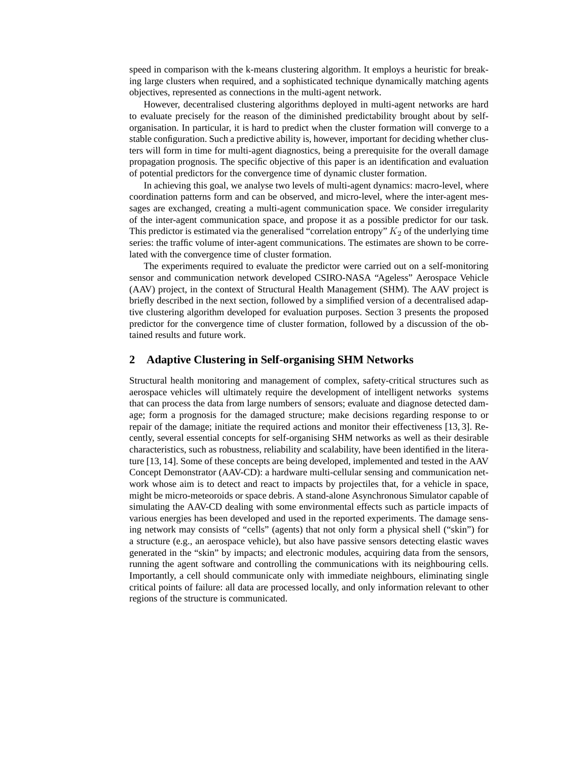speed in comparison with the k-means clustering algorithm. It employs a heuristic for breaking large clusters when required, and a sophisticated technique dynamically matching agents objectives, represented as connections in the multi-agent network.

However, decentralised clustering algorithms deployed in multi-agent networks are hard to evaluate precisely for the reason of the diminished predictability brought about by selforganisation. In particular, it is hard to predict when the cluster formation will converge to a stable configuration. Such a predictive ability is, however, important for deciding whether clusters will form in time for multi-agent diagnostics, being a prerequisite for the overall damage propagation prognosis. The specific objective of this paper is an identification and evaluation of potential predictors for the convergence time of dynamic cluster formation.

In achieving this goal, we analyse two levels of multi-agent dynamics: macro-level, where coordination patterns form and can be observed, and micro-level, where the inter-agent messages are exchanged, creating a multi-agent communication space. We consider irregularity of the inter-agent communication space, and propose it as a possible predictor for our task. This predictor is estimated via the generalised "correlation entropy"  $K_2$  of the underlying time series: the traffic volume of inter-agent communications. The estimates are shown to be correlated with the convergence time of cluster formation.

The experiments required to evaluate the predictor were carried out on a self-monitoring sensor and communication network developed CSIRO-NASA "Ageless" Aerospace Vehicle (AAV) project, in the context of Structural Health Management (SHM). The AAV project is briefly described in the next section, followed by a simplified version of a decentralised adaptive clustering algorithm developed for evaluation purposes. Section 3 presents the proposed predictor for the convergence time of cluster formation, followed by a discussion of the obtained results and future work.

## **2 Adaptive Clustering in Self-organising SHM Networks**

Structural health monitoring and management of complex, safety-critical structures such as aerospace vehicles will ultimately require the development of intelligent networks systems that can process the data from large numbers of sensors; evaluate and diagnose detected damage; form a prognosis for the damaged structure; make decisions regarding response to or repair of the damage; initiate the required actions and monitor their effectiveness [13, 3]. Recently, several essential concepts for self-organising SHM networks as well as their desirable characteristics, such as robustness, reliability and scalability, have been identified in the literature [13, 14]. Some of these concepts are being developed, implemented and tested in the AAV Concept Demonstrator (AAV-CD): a hardware multi-cellular sensing and communication network whose aim is to detect and react to impacts by projectiles that, for a vehicle in space, might be micro-meteoroids or space debris. A stand-alone Asynchronous Simulator capable of simulating the AAV-CD dealing with some environmental effects such as particle impacts of various energies has been developed and used in the reported experiments. The damage sensing network may consists of "cells" (agents) that not only form a physical shell ("skin") for a structure (e.g., an aerospace vehicle), but also have passive sensors detecting elastic waves generated in the "skin" by impacts; and electronic modules, acquiring data from the sensors, running the agent software and controlling the communications with its neighbouring cells. Importantly, a cell should communicate only with immediate neighbours, eliminating single critical points of failure: all data are processed locally, and only information relevant to other regions of the structure is communicated.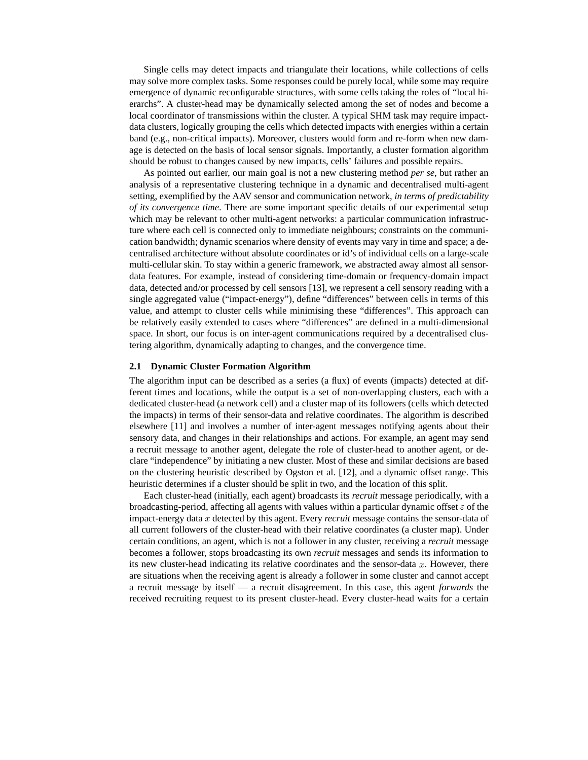Single cells may detect impacts and triangulate their locations, while collections of cells may solve more complex tasks. Some responses could be purely local, while some may require emergence of dynamic reconfigurable structures, with some cells taking the roles of "local hierarchs". A cluster-head may be dynamically selected among the set of nodes and become a local coordinator of transmissions within the cluster. A typical SHM task may require impactdata clusters, logically grouping the cells which detected impacts with energies within a certain band (e.g., non-critical impacts). Moreover, clusters would form and re-form when new damage is detected on the basis of local sensor signals. Importantly, a cluster formation algorithm should be robust to changes caused by new impacts, cells' failures and possible repairs.

As pointed out earlier, our main goal is not a new clustering method *per se*, but rather an analysis of a representative clustering technique in a dynamic and decentralised multi-agent setting, exemplified by the AAV sensor and communication network, *in terms of predictability of its convergence time*. There are some important specific details of our experimental setup which may be relevant to other multi-agent networks: a particular communication infrastructure where each cell is connected only to immediate neighbours; constraints on the communication bandwidth; dynamic scenarios where density of events may vary in time and space; a decentralised architecture without absolute coordinates or id's of individual cells on a large-scale multi-cellular skin. To stay within a generic framework, we abstracted away almost all sensordata features. For example, instead of considering time-domain or frequency-domain impact data, detected and/or processed by cell sensors [13], we represent a cell sensory reading with a single aggregated value ("impact-energy"), define "differences" between cells in terms of this value, and attempt to cluster cells while minimising these "differences". This approach can be relatively easily extended to cases where "differences" are defined in a multi-dimensional space. In short, our focus is on inter-agent communications required by a decentralised clustering algorithm, dynamically adapting to changes, and the convergence time.

#### **2.1 Dynamic Cluster Formation Algorithm**

The algorithm input can be described as a series (a flux) of events (impacts) detected at different times and locations, while the output is a set of non-overlapping clusters, each with a dedicated cluster-head (a network cell) and a cluster map of its followers (cells which detected the impacts) in terms of their sensor-data and relative coordinates. The algorithm is described elsewhere [11] and involves a number of inter-agent messages notifying agents about their sensory data, and changes in their relationships and actions. For example, an agent may send a recruit message to another agent, delegate the role of cluster-head to another agent, or declare "independence" by initiating a new cluster. Most of these and similar decisions are based on the clustering heuristic described by Ogston et al. [12], and a dynamic offset range. This heuristic determines if a cluster should be split in two, and the location of this split.

Each cluster-head (initially, each agent) broadcasts its *recruit* message periodically, with a broadcasting-period, affecting all agents with values within a particular dynamic offset  $\varepsilon$  of the impact-energy data x detected by this agent. Every *recruit* message contains the sensor-data of all current followers of the cluster-head with their relative coordinates (a cluster map). Under certain conditions, an agent, which is not a follower in any cluster, receiving a *recruit* message becomes a follower, stops broadcasting its own *recruit* messages and sends its information to its new cluster-head indicating its relative coordinates and the sensor-data  $x$ . However, there are situations when the receiving agent is already a follower in some cluster and cannot accept a recruit message by itself — a recruit disagreement. In this case, this agent *forwards* the received recruiting request to its present cluster-head. Every cluster-head waits for a certain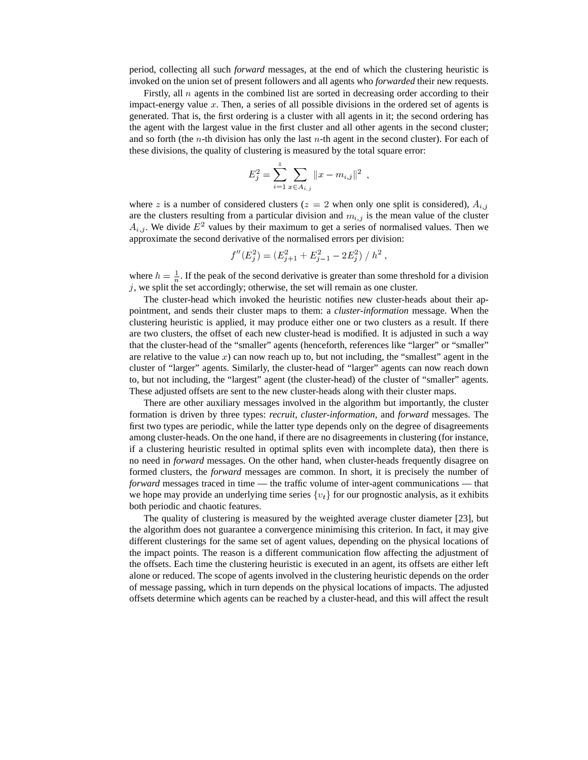period, collecting all such *forward* messages, at the end of which the clustering heuristic is invoked on the union set of present followers and all agents who *forwarded* their new requests.

Firstly, all  $n$  agents in the combined list are sorted in decreasing order according to their impact-energy value  $x$ . Then, a series of all possible divisions in the ordered set of agents is generated. That is, the first ordering is a cluster with all agents in it; the second ordering has the agent with the largest value in the first cluster and all other agents in the second cluster; and so forth (the  $n$ -th division has only the last  $n$ -th agent in the second cluster). For each of these divisions, the quality of clustering is measured by the total square error:

$$
E_j^2 = \sum_{i=1}^z \sum_{x \in A_{i,j}} ||x - m_{i,j}||^2 ,
$$

where z is a number of considered clusters ( $z = 2$  when only one split is considered),  $A_{i,j}$ are the clusters resulting from a particular division and  $m_{i,j}$  is the mean value of the cluster  $A_{i,j}$ . We divide  $E^2$  values by their maximum to get a series of normalised values. Then we approximate the second derivative of the normalised errors per division:

$$
f''(E_j^2) = (E_{j+1}^2 + E_{j-1}^2 - 2E_j^2) / h^2,
$$

where  $h = \frac{1}{n}$ . If the peak of the second derivative is greater than some threshold for a division  $j$ , we split the set accordingly; otherwise, the set will remain as one cluster.

The cluster-head which invoked the heuristic notifies new cluster-heads about their appointment, and sends their cluster maps to them: a *cluster-information* message. When the clustering heuristic is applied, it may produce either one or two clusters as a result. If there are two clusters, the offset of each new cluster-head is modified. It is adjusted in such a way that the cluster-head of the "smaller" agents (henceforth, references like "larger" or "smaller" are relative to the value  $x$ ) can now reach up to, but not including, the "smallest" agent in the cluster of "larger" agents. Similarly, the cluster-head of "larger" agents can now reach down to, but not including, the "largest" agent (the cluster-head) of the cluster of "smaller" agents. These adjusted offsets are sent to the new cluster-heads along with their cluster maps.

There are other auxiliary messages involved in the algorithm but importantly, the cluster formation is driven by three types: *recruit*, *cluster-information*, and *forward* messages. The first two types are periodic, while the latter type depends only on the degree of disagreements among cluster-heads. On the one hand, if there are no disagreements in clustering (for instance, if a clustering heuristic resulted in optimal splits even with incomplete data), then there is no need in *forward* messages. On the other hand, when cluster-heads frequently disagree on formed clusters, the *forward* messages are common. In short, it is precisely the number of *forward* messages traced in time — the traffic volume of inter-agent communications — that we hope may provide an underlying time series  $\{v_t\}$  for our prognostic analysis, as it exhibits both periodic and chaotic features.

The quality of clustering is measured by the weighted average cluster diameter [23], but the algorithm does not guarantee a convergence minimising this criterion. In fact, it may give different clusterings for the same set of agent values, depending on the physical locations of the impact points. The reason is a different communication flow affecting the adjustment of the offsets. Each time the clustering heuristic is executed in an agent, its offsets are either left alone or reduced. The scope of agents involved in the clustering heuristic depends on the order of message passing, which in turn depends on the physical locations of impacts. The adjusted offsets determine which agents can be reached by a cluster-head, and this will affect the result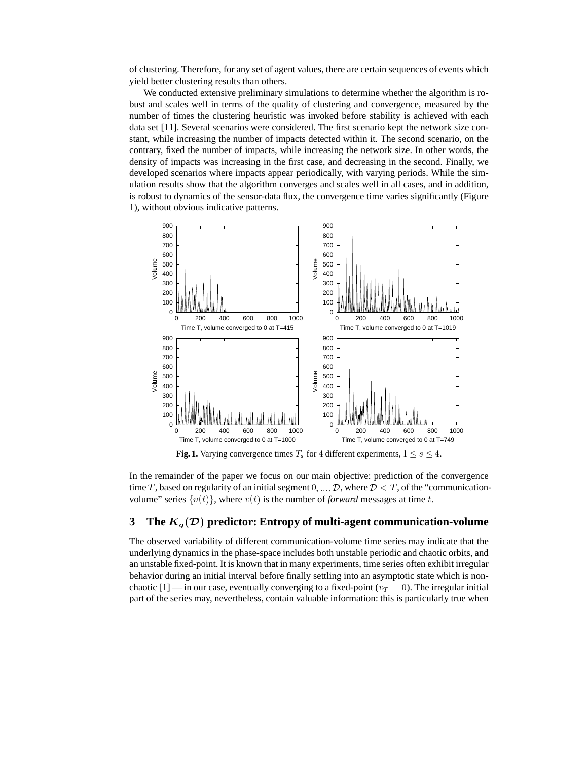of clustering. Therefore, for any set of agent values, there are certain sequences of events which yield better clustering results than others.

We conducted extensive preliminary simulations to determine whether the algorithm is robust and scales well in terms of the quality of clustering and convergence, measured by the number of times the clustering heuristic was invoked before stability is achieved with each data set [11]. Several scenarios were considered. The first scenario kept the network size constant, while increasing the number of impacts detected within it. The second scenario, on the contrary, fixed the number of impacts, while increasing the network size. In other words, the density of impacts was increasing in the first case, and decreasing in the second. Finally, we developed scenarios where impacts appear periodically, with varying periods. While the simulation results show that the algorithm converges and scales well in all cases, and in addition, is robust to dynamics of the sensor-data flux, the convergence time varies significantly (Figure 1), without obvious indicative patterns.



**Fig. 1.** Varying convergence times  $T_s$  for 4 different experiments,  $1 \leq s \leq 4$ .

In the remainder of the paper we focus on our main objective: prediction of the convergence time T, based on regularity of an initial segment  $0, ..., \mathcal{D}$ , where  $\mathcal{D} < T$ , of the "communicationvolume" series  $\{v(t)\}\$ , where  $v(t)$  is the number of *forward* messages at time t.

# **3** The  $K_q(\mathcal{D})$  predictor: Entropy of multi-agent communication-volume

The observed variability of different communication-volume time series may indicate that the underlying dynamics in the phase-space includes both unstable periodic and chaotic orbits, and an unstable fixed-point. It is known that in many experiments, time series often exhibit irregular behavior during an initial interval before finally settling into an asymptotic state which is nonchaotic  $[1]$  — in our case, eventually converging to a fixed-point ( $v_T = 0$ ). The irregular initial part of the series may, nevertheless, contain valuable information: this is particularly true when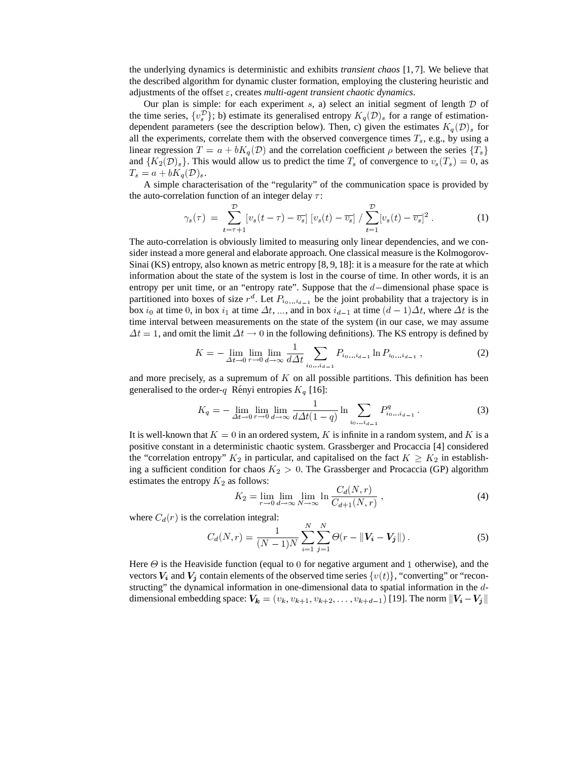the underlying dynamics is deterministic and exhibits *transient chaos* [1, 7]. We believe that the described algorithm for dynamic cluster formation, employing the clustering heuristic and adjustments of the offset  $\varepsilon$ , creates *multi-agent transient chaotic dynamics*.

Our plan is simple: for each experiment  $s$ , a) select an initial segment of length  $D$  of the time series,  $\{v_s^{\mathcal{D}}\}$ ; b) estimate its generalised entropy  $K_q(\mathcal{D})_s$  for a range of estimationdependent parameters (see the description below). Then, c) given the estimates  $K_q(\mathcal{D})_s$  for all the experiments, correlate them with the observed convergence times  $T_s$ , e.g., by using a linear regression  $T = a + bK_q(\mathcal{D})$  and the correlation coefficient  $\rho$  between the series  $\{T_s\}$ and  $\{K_2(\mathcal{D})_s\}$ . This would allow us to predict the time  $T_s$  of convergence to  $v_s(T_s) = 0$ , as  $T_s = a + bK_q(\mathcal{D})_s.$ 

A simple characterisation of the "regularity" of the communication space is provided by the auto-correlation function of an integer delay  $\tau$ :

$$
\gamma_s(\tau) = \sum_{t=\tau+1}^{D} \left[ v_s(t-\tau) - \overline{v_s} \right] \left[ v_s(t) - \overline{v_s} \right] / \sum_{t=1}^{D} \left[ v_s(t) - \overline{v_s} \right]^2. \tag{1}
$$

The auto-correlation is obviously limited to measuring only linear dependencies, and we consider instead a more general and elaborate approach. One classical measure is the Kolmogorov-Sinai (KS) entropy, also known as metric entropy [8, 9, 18]: it is a measure for the rate at which information about the state of the system is lost in the course of time. In other words, it is an entropy per unit time, or an "entropy rate". Suppose that the  $d$ -dimensional phase space is partitioned into boxes of size  $r^d$ . Let  $P_{i_0...i_{d-1}}$  be the joint probability that a trajectory is in box  $i_0$  at time 0, in box  $i_1$  at time  $\Delta t$ , ..., and in box  $i_{d-1}$  at time  $(d-1)\Delta t$ , where  $\Delta t$  is the time interval between measurements on the state of the system (in our case, we may assume  $\Delta t = 1$ , and omit the limit  $\Delta t \rightarrow 0$  in the following definitions). The KS entropy is defined by

$$
K = -\lim_{\Delta t \to 0} \lim_{r \to 0} \lim_{d \to \infty} \frac{1}{d\Delta t} \sum_{i_0...i_{d-1}}^{\infty} P_{i_0...i_{d-1}} \ln P_{i_0...i_{d-1}},
$$
(2)

and more precisely, as a supremum of  $K$  on all possible partitions. This definition has been generalised to the order-q Rényi entropies  $K_q$  [16]:

$$
K_q = -\lim_{\Delta t \to 0} \lim_{r \to 0} \lim_{d \to \infty} \frac{1}{d\Delta t (1-q)} \ln \sum_{i_0 \dots i_{d-1}} P^q_{i_0 \dots i_{d-1}} . \tag{3}
$$

It is well-known that  $K = 0$  in an ordered system, K is infinite in a random system, and K is a positive constant in a deterministic chaotic system. Grassberger and Procaccia [4] considered the "correlation entropy"  $K_2$  in particular, and capitalised on the fact  $K \geq K_2$  in establishing a sufficient condition for chaos  $K_2 > 0$ . The Grassberger and Procaccia (GP) algorithm estimates the entropy  $K_2$  as follows:

$$
K_2 = \lim_{r \to 0} \lim_{d \to \infty} \lim_{N \to \infty} \ln \frac{C_d(N, r)}{C_{d+1}(N, r)},
$$
\n(4)

where  $C_d(r)$  is the correlation integral:

$$
C_d(N,r) = \frac{1}{(N-1)N} \sum_{i=1}^{N} \sum_{j=1}^{N} \Theta(r - ||\mathbf{V}_i - \mathbf{V}_j||).
$$
 (5)

Here  $\Theta$  is the Heaviside function (equal to 0 for negative argument and 1 otherwise), and the vectors  $V_i$  and  $V_j$  contain elements of the observed time series  $\{v(t)\}\$ , "converting" or "reconstructing" the dynamical information in one-dimensional data to spatial information in the  $d$ dimensional embedding space:  $V_{\bm{k}} = (v_k, v_{k+1}, v_{k+2}, \ldots, v_{k+d-1})$  [19]. The norm  $\|V_{\bm{i}} - V_{\bm{j}}\|$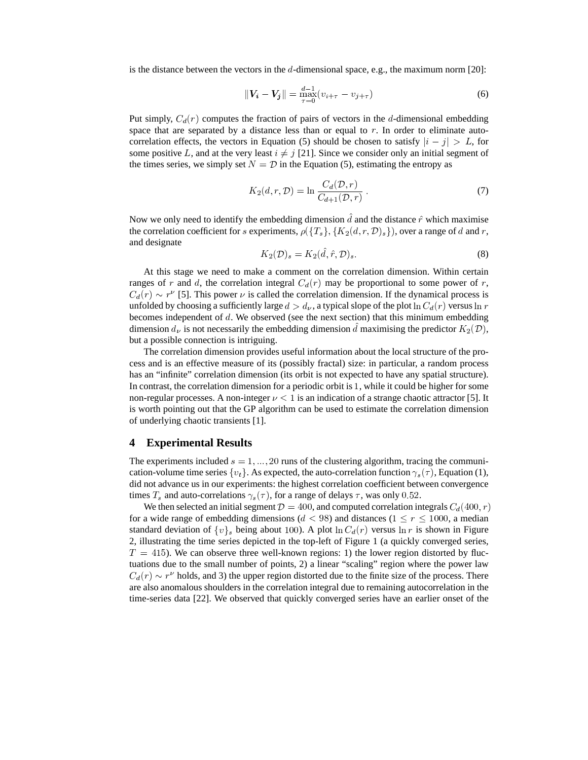is the distance between the vectors in the  $d$ -dimensional space, e.g., the maximum norm [20]:

$$
\|V_i - V_j\| = \max_{\tau=0}^{d-1} (v_{i+\tau} - v_{j+\tau})
$$
\n(6)

Put simply,  $C_d(r)$  computes the fraction of pairs of vectors in the d-dimensional embedding space that are separated by a distance less than or equal to  $r$ . In order to eliminate autocorrelation effects, the vectors in Equation (5) should be chosen to satisfy  $|i - j| > L$ , for some positive L, and at the very least  $i \neq j$  [21]. Since we consider only an initial segment of the times series, we simply set  $N = D$  in the Equation (5), estimating the entropy as

$$
K_2(d,r,\mathcal{D}) = \ln \frac{C_d(\mathcal{D},r)}{C_{d+1}(\mathcal{D},r)}.
$$
\n(7)

Now we only need to identify the embedding dimension  $\hat{d}$  and the distance  $\hat{r}$  which maximise the correlation coefficient for s experiments,  $\rho({T_s}, {K_2(d, r, \mathcal{D})_s}),$  $(r, \mathcal{D})_s$ }), over a range of d and r, and designate

$$
K_2(\mathcal{D})_s = K_2(\hat{d}, \hat{r}, \mathcal{D})_s. \tag{8}
$$

At this stage we need to make a comment on the correlation dimension. Within certain ranges of r and d, the correlation integral  $C_d(r)$  may be proportional to some power of r,  $(r) \sim r^{\nu}$  [5]. This power  $\nu$  is called the correlation dimension. If the dynamical process is unfolded by choosing a sufficiently large  $d > d_{\nu}$ , a typical slope of the plot  $\ln C_d(r)$  versus  $\ln r$ becomes independent of  $d$ . We observed (see the next section) that this minimum embedding dimension  $d_{\nu}$  is not necessarily the embedding dimension  $\bar{d}$  maximising the predictor  $K_2(\mathcal{D})$ , but a possible connection is intriguing. 3<sup>Y</sup>

The correlation dimension provides useful information about the local structure of the process and is an effective measure of its (possibly fractal) size: in particular, a random process has an "infinite" correlation dimension (its orbit is not expected to have any spatial structure). In contrast, the correlation dimension for a periodic orbit is 1, while it could be higher for some non-regular processes. A non-integer  $\nu < 1$  is an indication of a strange chaotic attractor [5]. It is worth pointing out that the GP algorithm can be used to estimate the correlation dimension of underlying chaotic transients [1].

# **4 Experimental Results**

The experiments included  $s = 1, ..., 20$  runs of the clustering algorithm, tracing the communication-volume time series  $\{v_t\}$ . As expected, the auto-correlation function  $\gamma_s(\tau)$ , Equation (1), did not advance us in our experiments: the highest correlation coefficient between convergence times  $T_s$  and auto-correlations  $\gamma_s(\tau)$ , for a range of delays  $\tau$ , was only 0.52.

We then selected an initial segment  $\mathcal{D} = 400$ , and computed correlation integrals  $C_d(400, r)$ for a wide range of embedding dimensions ( $d < 98$ ) and distances ( $1 \le r \le 1000$ , a median standard deviation of  $\{v\}_s$  being about 100). A plot  $\ln C_d(r)$  versus  $\ln r$  is shown in Figure <sup>z</sup> 2, illustrating the time series depicted in the top-left of Figure 1 (a quickly converged series,  $T = 415$ ). We can observe three well-known regions: 1) the lower region distorted by fluctuations due to the small number of points, 2) a linear "scaling" region where the power law are also anomalous shoulders in the correlation integral due to remaining autocorrelation in the  $C_d(r) \sim r^{\nu}$  holds, and 3) the upper region distorted due to the finite size of the process. There time-series data [22]. We observed that quickly converged series have an earlier onset of the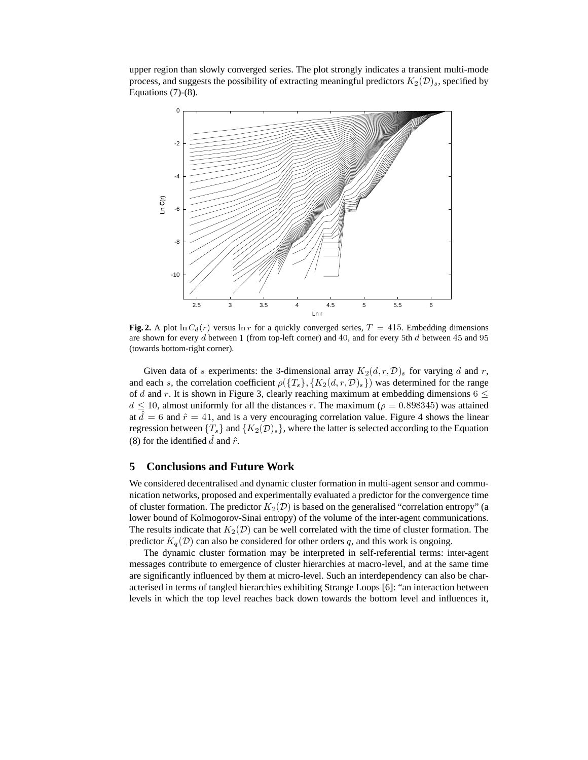upper region than slowly converged series. The plot strongly indicates a transient multi-mode process, and suggests the possibility of extracting meaningful predictors  $K_2(\mathcal{D})_s$ , specified by Equations (7)-(8).



**Fig. 2.** A plot  $\ln C_d(r)$  versus  $\ln r$  for a quickly converged series,  $T = 415$ . Embedding dimensions are shown for every  $d$  between 1 (from top-left corner) and 40, and for every 5th  $d$  between 45 and 95 (towards bottom-right corner).

Given data of s experiments: the 3-dimensional array  $K_2(d, r, \mathcal{D})_s$  for  $(r, \mathcal{D})_s$  for varying d and r, and each s, the correlation coefficient  $\rho({T_s}, {K_2(d, r, \mathcal{D})_s})$  $(r, \mathcal{D})_s$ } was determined for the range of d and r. It is shown in Figure 3, clearly reaching maximum at embedding dimensions  $6 \leq$  $d \leq 10$ , almost uniformly for all the distances r. The maximum ( $\rho = 0.898345$ ) was attained at  $d = 6$  and  $\hat{r} = 41$ , and is a very encouraging correlation value. Figure 4 shows the linear regression between  $\{T_s\}$  and  $\{K_2(\mathcal{D})\}$ , where the latter is selected according to the Equation (8) for the identified d and  $\hat{r}$ .

# **5 Conclusions and Future Work**

We considered decentralised and dynamic cluster formation in multi-agent sensor and communication networks, proposed and experimentally evaluated a predictor for the convergence time of cluster formation. The predictor  $K_2(\mathcal{D})$  is based on the generalised "correlation entropy" (a lower bound of Kolmogorov-Sinai entropy) of the volume of the inter-agent communications. The results indicate that  $K_2(\mathcal{D})$  can be well correlated with the time of cluster formation. The predictor  $K_q(\mathcal{D})$  can also be considered for other orders q, and this work is ongoing.

The dynamic cluster formation may be interpreted in self-referential terms: inter-agent messages contribute to emergence of cluster hierarchies at macro-level, and at the same time are significantly influenced by them at micro-level. Such an interdependency can also be characterised in terms of tangled hierarchies exhibiting Strange Loops [6]: "an interaction between levels in which the top level reaches back down towards the bottom level and influences it,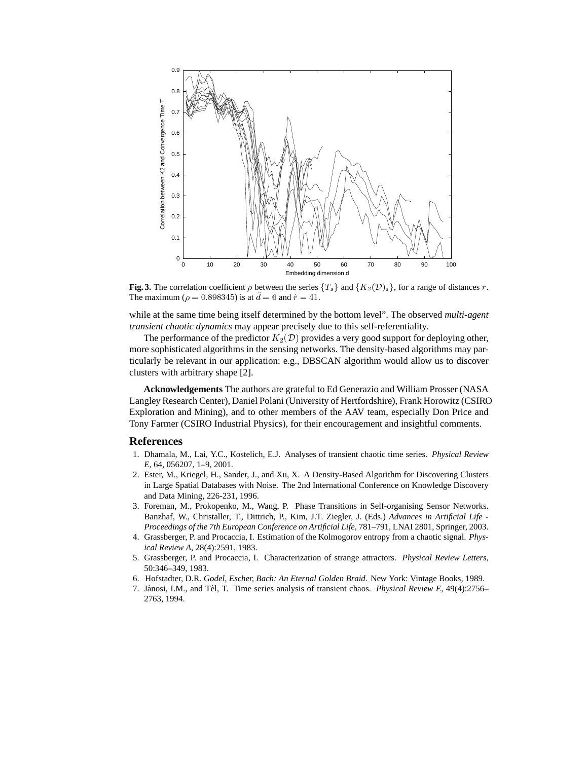

**Fig. 3.** The correlation coefficient  $\rho$  between the series  $\{T_s\}$  and  $\{K_2(\mathcal{D})\}$ , for a range of distances r. The maximum ( $\rho = 0.898345$ ) is at  $\hat{d} = 6$  and  $\hat{r} = 41$ .

while at the same time being itself determined by the bottom level". The observed *multi-agent transient chaotic dynamics* may appear precisely due to this self-referentiality.

The performance of the predictor  $K_2(\mathcal{D})$  provides a very good support for deploying other, more sophisticated algorithms in the sensing networks. The density-based algorithms may particularly be relevant in our application: e.g., DBSCAN algorithm would allow us to discover clusters with arbitrary shape [2].

**Acknowledgements** The authors are grateful to Ed Generazio and William Prosser (NASA Langley Research Center), Daniel Polani (University of Hertfordshire), Frank Horowitz (CSIRO Exploration and Mining), and to other members of the AAV team, especially Don Price and Tony Farmer (CSIRO Industrial Physics), for their encouragement and insightful comments.

### **References**

- 1. Dhamala, M., Lai, Y.C., Kostelich, E.J. Analyses of transient chaotic time series. *Physical Review E*, 64, 056207, 1–9, 2001.
- 2. Ester, M., Kriegel, H., Sander, J., and Xu, X. A Density-Based Algorithm for Discovering Clusters in Large Spatial Databases with Noise. The 2nd International Conference on Knowledge Discovery and Data Mining, 226-231, 1996.
- 3. Foreman, M., Prokopenko, M., Wang, P. Phase Transitions in Self-organising Sensor Networks. Banzhaf, W., Christaller, T., Dittrich, P., Kim, J.T. Ziegler, J. (Eds.) *Advances in Artificial Life - Proceedings of the 7th European Conference on Artificial Life*, 781–791, LNAI 2801, Springer, 2003.
- 4. Grassberger, P. and Procaccia, I. Estimation of the Kolmogorov entropy from a chaotic signal. *Physical Review A*, 28(4):2591, 1983.
- 5. Grassberger, P. and Procaccia, I. Characterization of strange attractors. *Physical Review Letters*, 50:346–349, 1983.
- 6. Hofstadter, D.R. *Godel, Escher, Bach: An Eternal Golden Braid*. New York: Vintage Books, 1989.
- 7. Jánosi, I.M., and Tél, T. Time series analysis of transient chaos. *Physical Review E*, 49(4):2756– 2763, 1994.